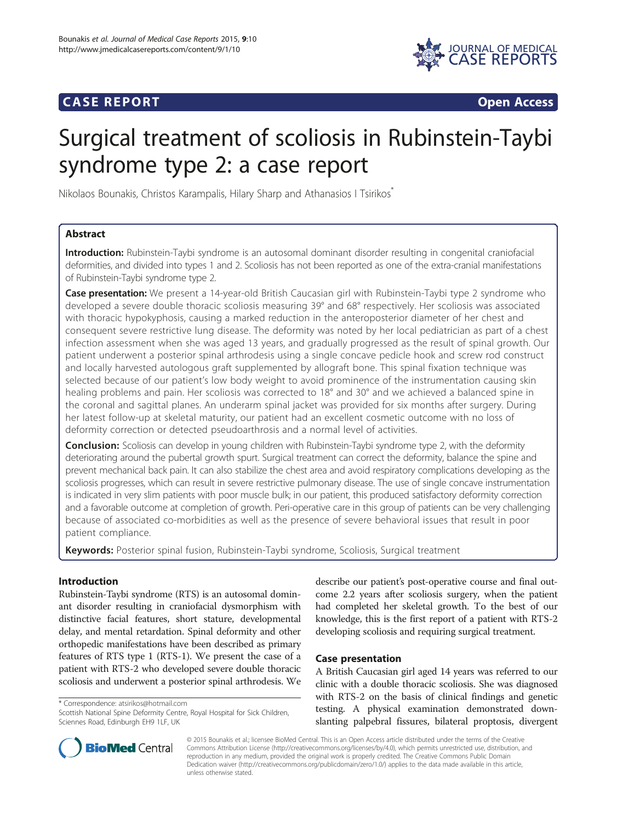# **CASE REPORT CASE REPORT**



# Surgical treatment of scoliosis in Rubinstein-Taybi syndrome type 2: a case report

Nikolaos Bounakis, Christos Karampalis, Hilary Sharp and Athanasios I Tsirikos<sup>®</sup>

# Abstract

Introduction: Rubinstein-Taybi syndrome is an autosomal dominant disorder resulting in congenital craniofacial deformities, and divided into types 1 and 2. Scoliosis has not been reported as one of the extra-cranial manifestations of Rubinstein-Taybi syndrome type 2.

**Case presentation:** We present a 14-year-old British Caucasian girl with Rubinstein-Taybi type 2 syndrome who developed a severe double thoracic scoliosis measuring 39° and 68° respectively. Her scoliosis was associated with thoracic hypokyphosis, causing a marked reduction in the anteroposterior diameter of her chest and consequent severe restrictive lung disease. The deformity was noted by her local pediatrician as part of a chest infection assessment when she was aged 13 years, and gradually progressed as the result of spinal growth. Our patient underwent a posterior spinal arthrodesis using a single concave pedicle hook and screw rod construct and locally harvested autologous graft supplemented by allograft bone. This spinal fixation technique was selected because of our patient's low body weight to avoid prominence of the instrumentation causing skin healing problems and pain. Her scoliosis was corrected to 18° and 30° and we achieved a balanced spine in the coronal and sagittal planes. An underarm spinal jacket was provided for six months after surgery. During her latest follow-up at skeletal maturity, our patient had an excellent cosmetic outcome with no loss of deformity correction or detected pseudoarthrosis and a normal level of activities.

**Conclusion:** Scoliosis can develop in young children with Rubinstein-Taybi syndrome type 2, with the deformity deteriorating around the pubertal growth spurt. Surgical treatment can correct the deformity, balance the spine and prevent mechanical back pain. It can also stabilize the chest area and avoid respiratory complications developing as the scoliosis progresses, which can result in severe restrictive pulmonary disease. The use of single concave instrumentation is indicated in very slim patients with poor muscle bulk; in our patient, this produced satisfactory deformity correction and a favorable outcome at completion of growth. Peri-operative care in this group of patients can be very challenging because of associated co-morbidities as well as the presence of severe behavioral issues that result in poor patient compliance.

**Keywords:** Posterior spinal fusion, Rubinstein-Taybi syndrome, Scoliosis, Surgical treatment

# Introduction

Rubinstein-Taybi syndrome (RTS) is an autosomal dominant disorder resulting in craniofacial dysmorphism with distinctive facial features, short stature, developmental delay, and mental retardation. Spinal deformity and other orthopedic manifestations have been described as primary features of RTS type 1 (RTS-1). We present the case of a patient with RTS-2 who developed severe double thoracic scoliosis and underwent a posterior spinal arthrodesis. We

\* Correspondence: [atsirikos@hotmail.com](mailto:atsirikos@hotmail.com)

describe our patient's post-operative course and final outcome 2.2 years after scoliosis surgery, when the patient had completed her skeletal growth. To the best of our knowledge, this is the first report of a patient with RTS-2 developing scoliosis and requiring surgical treatment.

# Case presentation

A British Caucasian girl aged 14 years was referred to our clinic with a double thoracic scoliosis. She was diagnosed with RTS-2 on the basis of clinical findings and genetic testing. A physical examination demonstrated downslanting palpebral fissures, bilateral proptosis, divergent



© 2015 Bounakis et al.; licensee BioMed Central. This is an Open Access article distributed under the terms of the Creative Commons Attribution License [\(http://creativecommons.org/licenses/by/4.0\)](http://creativecommons.org/licenses/by/4.0), which permits unrestricted use, distribution, and reproduction in any medium, provided the original work is properly credited. The Creative Commons Public Domain Dedication waiver [\(http://creativecommons.org/publicdomain/zero/1.0/](http://creativecommons.org/publicdomain/zero/1.0/)) applies to the data made available in this article, unless otherwise stated.

Scottish National Spine Deformity Centre, Royal Hospital for Sick Children, Sciennes Road, Edinburgh EH9 1LF, UK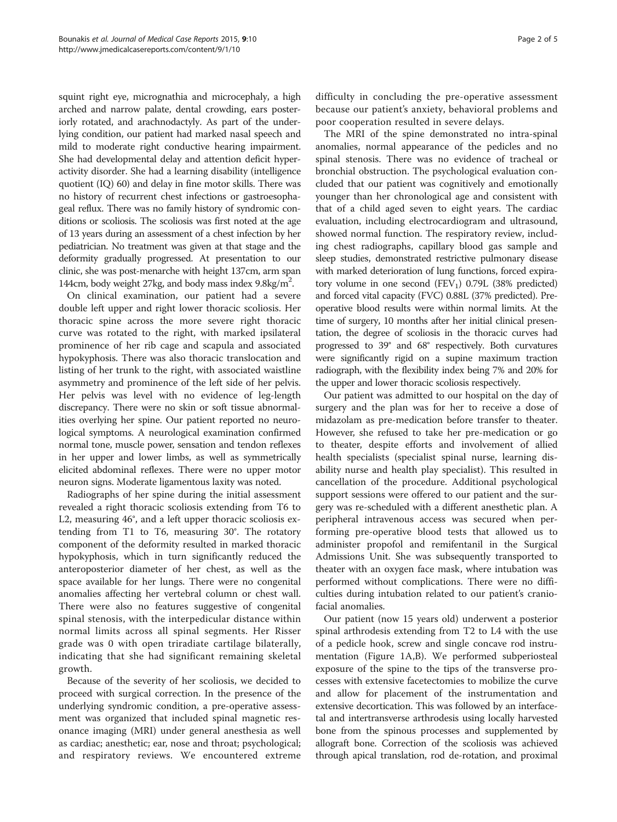squint right eye, micrognathia and microcephaly, a high arched and narrow palate, dental crowding, ears posteriorly rotated, and arachnodactyly. As part of the underlying condition, our patient had marked nasal speech and mild to moderate right conductive hearing impairment. She had developmental delay and attention deficit hyperactivity disorder. She had a learning disability (intelligence quotient (IQ) 60) and delay in fine motor skills. There was no history of recurrent chest infections or gastroesophageal reflux. There was no family history of syndromic conditions or scoliosis. The scoliosis was first noted at the age of 13 years during an assessment of a chest infection by her pediatrician. No treatment was given at that stage and the deformity gradually progressed. At presentation to our clinic, she was post-menarche with height 137cm, arm span 144cm, body weight 27kg, and body mass index 9.8kg/m<sup>2</sup>.

On clinical examination, our patient had a severe double left upper and right lower thoracic scoliosis. Her thoracic spine across the more severe right thoracic curve was rotated to the right, with marked ipsilateral prominence of her rib cage and scapula and associated hypokyphosis. There was also thoracic translocation and listing of her trunk to the right, with associated waistline asymmetry and prominence of the left side of her pelvis. Her pelvis was level with no evidence of leg-length discrepancy. There were no skin or soft tissue abnormalities overlying her spine. Our patient reported no neurological symptoms. A neurological examination confirmed normal tone, muscle power, sensation and tendon reflexes in her upper and lower limbs, as well as symmetrically elicited abdominal reflexes. There were no upper motor neuron signs. Moderate ligamentous laxity was noted.

Radiographs of her spine during the initial assessment revealed a right thoracic scoliosis extending from T6 to L2, measuring 46°, and a left upper thoracic scoliosis extending from T1 to T6, measuring 30°. The rotatory component of the deformity resulted in marked thoracic hypokyphosis, which in turn significantly reduced the anteroposterior diameter of her chest, as well as the space available for her lungs. There were no congenital anomalies affecting her vertebral column or chest wall. There were also no features suggestive of congenital spinal stenosis, with the interpedicular distance within normal limits across all spinal segments. Her Risser grade was 0 with open triradiate cartilage bilaterally, indicating that she had significant remaining skeletal growth.

Because of the severity of her scoliosis, we decided to proceed with surgical correction. In the presence of the underlying syndromic condition, a pre-operative assessment was organized that included spinal magnetic resonance imaging (MRI) under general anesthesia as well as cardiac; anesthetic; ear, nose and throat; psychological; and respiratory reviews. We encountered extreme difficulty in concluding the pre-operative assessment because our patient's anxiety, behavioral problems and poor cooperation resulted in severe delays.

The MRI of the spine demonstrated no intra-spinal anomalies, normal appearance of the pedicles and no spinal stenosis. There was no evidence of tracheal or bronchial obstruction. The psychological evaluation concluded that our patient was cognitively and emotionally younger than her chronological age and consistent with that of a child aged seven to eight years. The cardiac evaluation, including electrocardiogram and ultrasound, showed normal function. The respiratory review, including chest radiographs, capillary blood gas sample and sleep studies, demonstrated restrictive pulmonary disease with marked deterioration of lung functions, forced expiratory volume in one second  $(FEV_1)$  0.79L (38% predicted) and forced vital capacity (FVC) 0.88L (37% predicted). Preoperative blood results were within normal limits. At the time of surgery, 10 months after her initial clinical presentation, the degree of scoliosis in the thoracic curves had progressed to 39° and 68° respectively. Both curvatures were significantly rigid on a supine maximum traction radiograph, with the flexibility index being 7% and 20% for the upper and lower thoracic scoliosis respectively.

Our patient was admitted to our hospital on the day of surgery and the plan was for her to receive a dose of midazolam as pre-medication before transfer to theater. However, she refused to take her pre-medication or go to theater, despite efforts and involvement of allied health specialists (specialist spinal nurse, learning disability nurse and health play specialist). This resulted in cancellation of the procedure. Additional psychological support sessions were offered to our patient and the surgery was re-scheduled with a different anesthetic plan. A peripheral intravenous access was secured when performing pre-operative blood tests that allowed us to administer propofol and remifentanil in the Surgical Admissions Unit. She was subsequently transported to theater with an oxygen face mask, where intubation was performed without complications. There were no difficulties during intubation related to our patient's craniofacial anomalies.

Our patient (now 15 years old) underwent a posterior spinal arthrodesis extending from T2 to L4 with the use of a pedicle hook, screw and single concave rod instrumentation (Figure [1](#page-2-0)A,B). We performed subperiosteal exposure of the spine to the tips of the transverse processes with extensive facetectomies to mobilize the curve and allow for placement of the instrumentation and extensive decortication. This was followed by an interfacetal and intertransverse arthrodesis using locally harvested bone from the spinous processes and supplemented by allograft bone. Correction of the scoliosis was achieved through apical translation, rod de-rotation, and proximal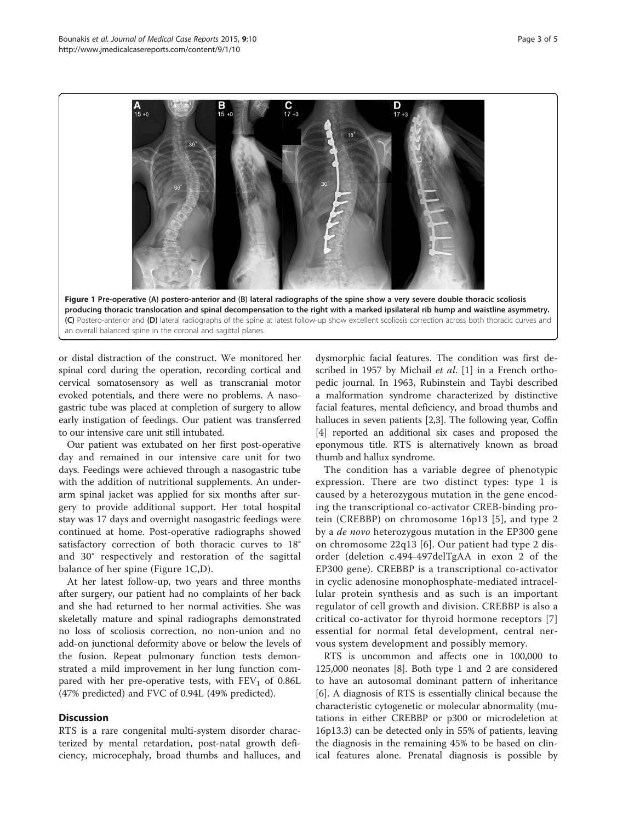<span id="page-2-0"></span>

producing thoracic translocation and spinal decompensation to the right with a marked ipsilateral rib hump and waistline asymmetry. (C) Postero-anterior and (D) lateral radiographs of the spine at latest follow-up show excellent scoliosis correction across both thoracic curves and an overall balanced spine in the coronal and sagittal planes.

or distal distraction of the construct. We monitored her spinal cord during the operation, recording cortical and cervical somatosensory as well as transcranial motor evoked potentials, and there were no problems. A nasogastric tube was placed at completion of surgery to allow early instigation of feedings. Our patient was transferred to our intensive care unit still intubated.

Our patient was extubated on her first post-operative day and remained in our intensive care unit for two days. Feedings were achieved through a nasogastric tube with the addition of nutritional supplements. An underarm spinal jacket was applied for six months after surgery to provide additional support. Her total hospital stay was 17 days and overnight nasogastric feedings were continued at home. Post-operative radiographs showed satisfactory correction of both thoracic curves to 18° and 30° respectively and restoration of the sagittal balance of her spine (Figure 1C,D).

At her latest follow-up, two years and three months after surgery, our patient had no complaints of her back and she had returned to her normal activities. She was skeletally mature and spinal radiographs demonstrated no loss of scoliosis correction, no non-union and no add-on junctional deformity above or below the levels of the fusion. Repeat pulmonary function tests demonstrated a mild improvement in her lung function compared with her pre-operative tests, with  $FEV<sub>1</sub>$  of 0.86L (47% predicted) and FVC of 0.94L (49% predicted).

# **Discussion**

RTS is a rare congenital multi-system disorder characterized by mental retardation, post-natal growth deficiency, microcephaly, broad thumbs and halluces, and dysmorphic facial features. The condition was first de-scribed in 1957 by Michail et al. [[1\]](#page-4-0) in a French orthopedic journal. In 1963, Rubinstein and Taybi described a malformation syndrome characterized by distinctive facial features, mental deficiency, and broad thumbs and halluces in seven patients [[2](#page-4-0),[3](#page-4-0)]. The following year, Coffin [[4\]](#page-4-0) reported an additional six cases and proposed the eponymous title. RTS is alternatively known as broad thumb and hallux syndrome.

The condition has a variable degree of phenotypic expression. There are two distinct types: type 1 is caused by a heterozygous mutation in the gene encoding the transcriptional co-activator CREB-binding protein (CREBBP) on chromosome 16p13 [[5](#page-4-0)], and type 2 by a *de novo* heterozygous mutation in the EP300 gene on chromosome 22q13 [[6\]](#page-4-0). Our patient had type 2 disorder (deletion c.494-497delTgAA in exon 2 of the EP300 gene). CREBBP is a transcriptional co-activator in cyclic adenosine monophosphate-mediated intracellular protein synthesis and as such is an important regulator of cell growth and division. CREBBP is also a critical co-activator for thyroid hormone receptors [\[7](#page-4-0)] essential for normal fetal development, central nervous system development and possibly memory.

RTS is uncommon and affects one in 100,000 to 125,000 neonates [\[8](#page-4-0)]. Both type 1 and 2 are considered to have an autosomal dominant pattern of inheritance [[6\]](#page-4-0). A diagnosis of RTS is essentially clinical because the characteristic cytogenetic or molecular abnormality (mutations in either CREBBP or p300 or microdeletion at 16p13.3) can be detected only in 55% of patients, leaving the diagnosis in the remaining 45% to be based on clinical features alone. Prenatal diagnosis is possible by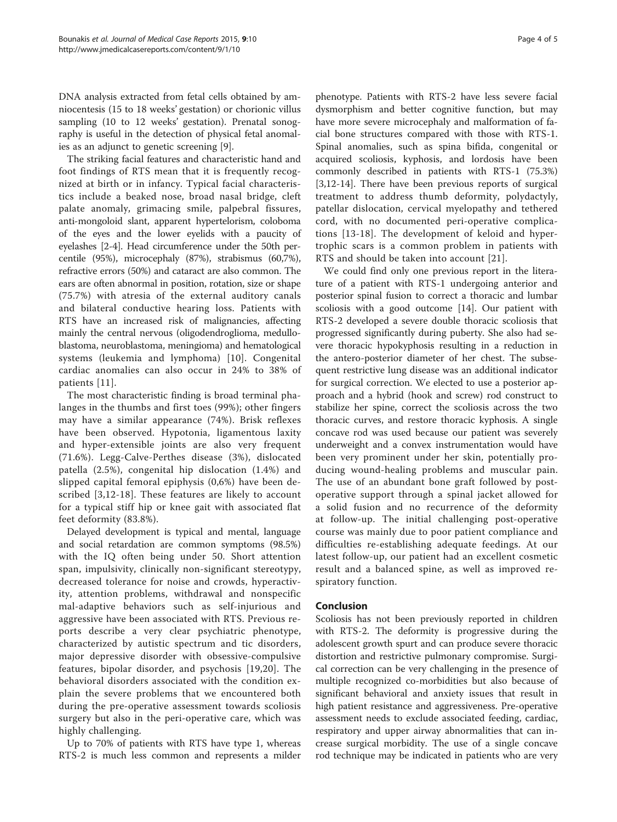DNA analysis extracted from fetal cells obtained by amniocentesis (15 to 18 weeks' gestation) or chorionic villus sampling (10 to 12 weeks' gestation). Prenatal sonography is useful in the detection of physical fetal anomalies as an adjunct to genetic screening [[9\]](#page-4-0).

The striking facial features and characteristic hand and foot findings of RTS mean that it is frequently recognized at birth or in infancy. Typical facial characteristics include a beaked nose, broad nasal bridge, cleft palate anomaly, grimacing smile, palpebral fissures, anti-mongoloid slant, apparent hypertelorism, coloboma of the eyes and the lower eyelids with a paucity of eyelashes [\[2](#page-4-0)-[4](#page-4-0)]. Head circumference under the 50th percentile (95%), microcephaly (87%), strabismus (60,7%), refractive errors (50%) and cataract are also common. The ears are often abnormal in position, rotation, size or shape (75.7%) with atresia of the external auditory canals and bilateral conductive hearing loss. Patients with RTS have an increased risk of malignancies, affecting mainly the central nervous (oligodendroglioma, medulloblastoma, neuroblastoma, meningioma) and hematological systems (leukemia and lymphoma) [[10\]](#page-4-0). Congenital cardiac anomalies can also occur in 24% to 38% of patients [[11\]](#page-4-0).

The most characteristic finding is broad terminal phalanges in the thumbs and first toes (99%); other fingers may have a similar appearance (74%). Brisk reflexes have been observed. Hypotonia, ligamentous laxity and hyper-extensible joints are also very frequent (71.6%). Legg-Calve-Perthes disease (3%), dislocated patella (2.5%), congenital hip dislocation (1.4%) and slipped capital femoral epiphysis (0,6%) have been described [\[3](#page-4-0),[12-18\]](#page-4-0). These features are likely to account for a typical stiff hip or knee gait with associated flat feet deformity (83.8%).

Delayed development is typical and mental, language and social retardation are common symptoms (98.5%) with the IQ often being under 50. Short attention span, impulsivity, clinically non-significant stereotypy, decreased tolerance for noise and crowds, hyperactivity, attention problems, withdrawal and nonspecific mal-adaptive behaviors such as self-injurious and aggressive have been associated with RTS. Previous reports describe a very clear psychiatric phenotype, characterized by autistic spectrum and tic disorders, major depressive disorder with obsessive-compulsive features, bipolar disorder, and psychosis [[19](#page-4-0),[20\]](#page-4-0). The behavioral disorders associated with the condition explain the severe problems that we encountered both during the pre-operative assessment towards scoliosis surgery but also in the peri-operative care, which was highly challenging.

Up to 70% of patients with RTS have type 1, whereas RTS-2 is much less common and represents a milder

phenotype. Patients with RTS-2 have less severe facial dysmorphism and better cognitive function, but may have more severe microcephaly and malformation of facial bone structures compared with those with RTS-1. Spinal anomalies, such as spina bifida, congenital or acquired scoliosis, kyphosis, and lordosis have been commonly described in patients with RTS-1 (75.3%) [[3,12-14](#page-4-0)]. There have been previous reports of surgical treatment to address thumb deformity, polydactyly, patellar dislocation, cervical myelopathy and tethered cord, with no documented peri-operative complications [[13-18\]](#page-4-0). The development of keloid and hypertrophic scars is a common problem in patients with RTS and should be taken into account [\[21\]](#page-4-0).

We could find only one previous report in the literature of a patient with RTS-1 undergoing anterior and posterior spinal fusion to correct a thoracic and lumbar scoliosis with a good outcome [\[14\]](#page-4-0). Our patient with RTS-2 developed a severe double thoracic scoliosis that progressed significantly during puberty. She also had severe thoracic hypokyphosis resulting in a reduction in the antero-posterior diameter of her chest. The subsequent restrictive lung disease was an additional indicator for surgical correction. We elected to use a posterior approach and a hybrid (hook and screw) rod construct to stabilize her spine, correct the scoliosis across the two thoracic curves, and restore thoracic kyphosis. A single concave rod was used because our patient was severely underweight and a convex instrumentation would have been very prominent under her skin, potentially producing wound-healing problems and muscular pain. The use of an abundant bone graft followed by postoperative support through a spinal jacket allowed for a solid fusion and no recurrence of the deformity at follow-up. The initial challenging post-operative course was mainly due to poor patient compliance and difficulties re-establishing adequate feedings. At our latest follow-up, our patient had an excellent cosmetic result and a balanced spine, as well as improved respiratory function.

# Conclusion

Scoliosis has not been previously reported in children with RTS-2. The deformity is progressive during the adolescent growth spurt and can produce severe thoracic distortion and restrictive pulmonary compromise. Surgical correction can be very challenging in the presence of multiple recognized co-morbidities but also because of significant behavioral and anxiety issues that result in high patient resistance and aggressiveness. Pre-operative assessment needs to exclude associated feeding, cardiac, respiratory and upper airway abnormalities that can increase surgical morbidity. The use of a single concave rod technique may be indicated in patients who are very